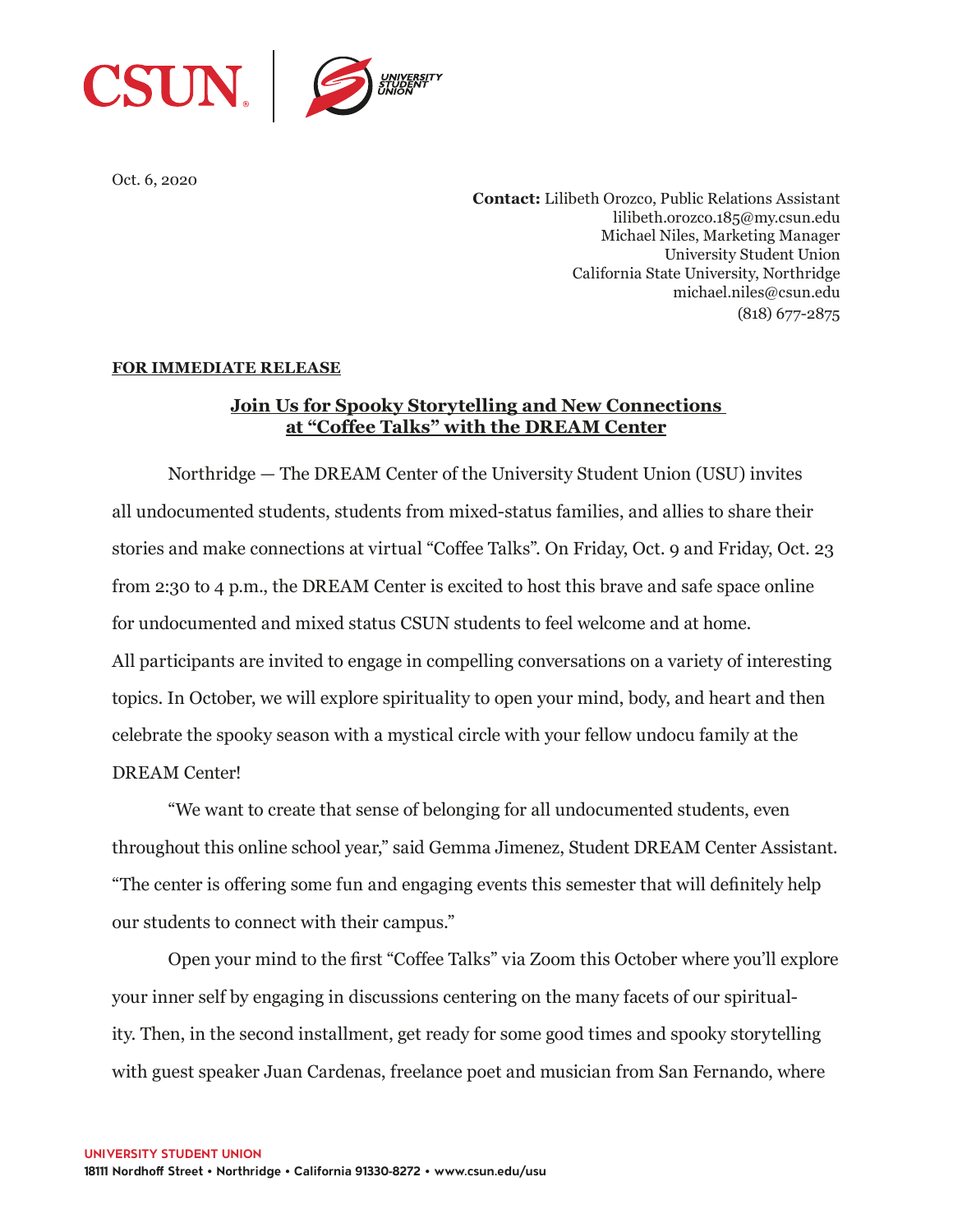

Oct. 6, 2020

**Contact:** Lilibeth Orozco, Public Relations Assistant lilibeth.orozco.185@my.csun.edu Michael Niles, Marketing Manager University Student Union California State University, Northridge michael.niles@csun.edu (818) 677-2875

## **FOR IMMEDIATE RELEASE**

## **Join Us for Spooky Storytelling and New Connections at "Coffee Talks" with the DREAM Center**

Northridge — The DREAM Center of the University Student Union (USU) invites all undocumented students, students from mixed-status families, and allies to share their stories and make connections at virtual "Coffee Talks". On Friday, Oct. 9 and Friday, Oct. 23 from 2:30 to 4 p.m., the DREAM Center is excited to host this brave and safe space online for undocumented and mixed status CSUN students to feel welcome and at home. All participants are invited to engage in compelling conversations on a variety of interesting topics. In October, we will explore spirituality to open your mind, body, and heart and then celebrate the spooky season with a mystical circle with your fellow undocu family at the DREAM Center!

"We want to create that sense of belonging for all undocumented students, even throughout this online school year," said Gemma Jimenez, Student DREAM Center Assistant. "The center is offering some fun and engaging events this semester that will definitely help our students to connect with their campus."

Open your mind to the first "Coffee Talks" via Zoom this October where you'll explore your inner self by engaging in discussions centering on the many facets of our spirituality. Then, in the second installment, get ready for some good times and spooky storytelling with guest speaker Juan Cardenas, freelance poet and musician from San Fernando, where